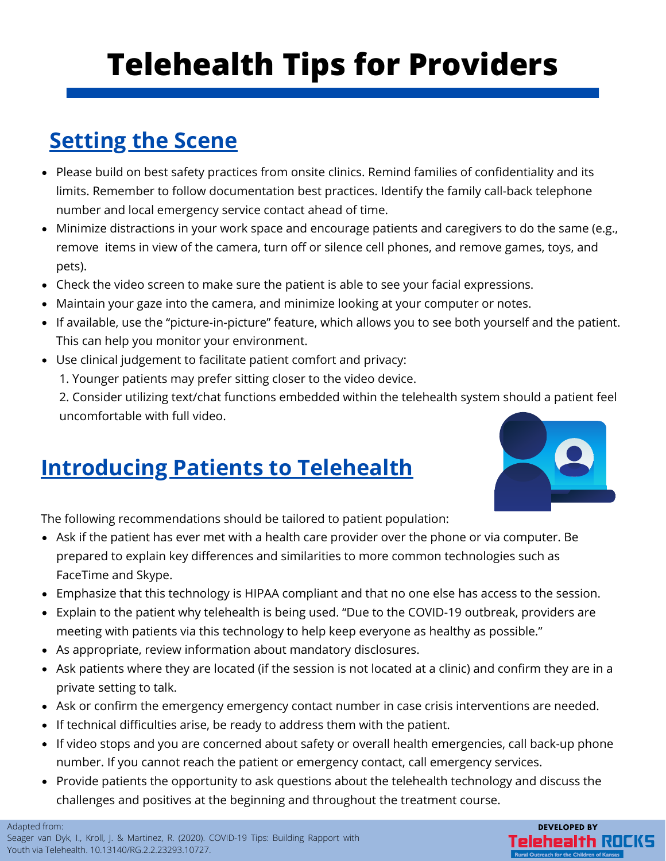# **Telehealth Tips for Providers**

## **Setting the Scene**

- Please build on best safety practices from onsite clinics. Remind families of confidentiality and its limits. Remember to follow documentation best practices. Identify the family call-back telephone number and local emergency service contact ahead of time.
- Minimize distractions in your work space and encourage patients and caregivers to do the same (e.g., remove items in view of the camera, turn off or silence cell phones, and remove games, toys, and pets).
- Check the video screen to make sure the patient is able to see your facial expressions.
- Maintain your gaze into the camera, and minimize looking at your computer or notes.
- If available, use the "picture-in-picture" feature, which allows you to see both yourself and the patient. This can help you monitor your environment.
- Use clinical judgement to facilitate patient comfort and privacy:
	- 1. Younger patients may prefer sitting closer to the video device.

2. Consider utilizing text/chat functions embedded within the telehealth system should a patient feel uncomfortable with full video.

#### **Introducing Patients to Telehealth**



The following recommendations should be tailored to patient population:

- Ask if the patient has ever met with a health care provider over the phone or via computer. Be prepared to explain key differences and similarities to more common technologies such as FaceTime and Skype.
- Emphasize that this technology is HIPAA compliant and that no one else has access to the session.
- Explain to the patient why telehealth is being used. "Due to the COVID-19 outbreak, providers are meeting with patients via this technology to help keep everyone as healthy as possible."
- As appropriate, review information about mandatory disclosures.
- Ask patients where they are located (if the session is not located at a clinic) and confirm they are in a private setting to talk.
- Ask or confirm the emergency emergency contact number in case crisis interventions are needed.
- If technical difficulties arise, be ready to address them with the patient.
- If video stops and you are concerned about safety or overall health emergencies, call back-up phone number. If you cannot reach the patient or emergency contact, call emergency services.
- Provide patients the opportunity to ask questions about the telehealth technology and discuss the challenges and positives at the beginning and throughout the treatment course.